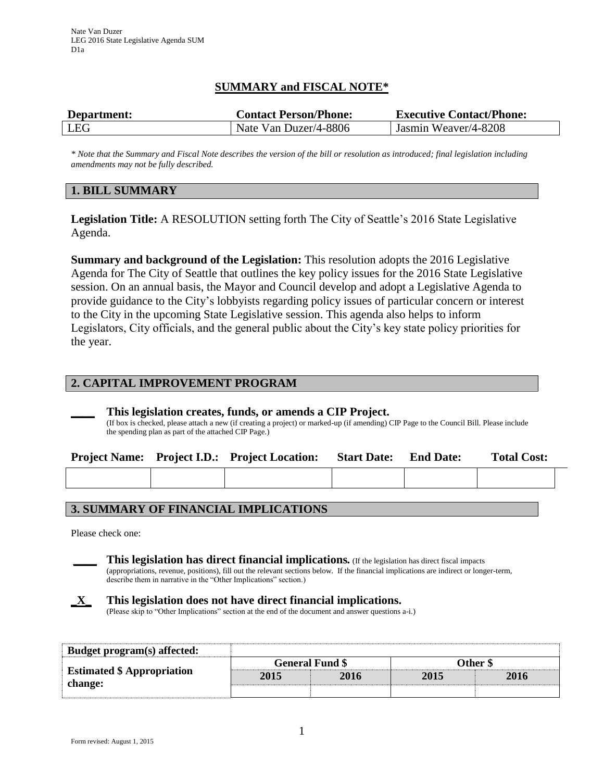# **SUMMARY and FISCAL NOTE\***

| Department: | <b>Contact Person/Phone:</b> | <b>Executive Contact/Phone:</b> |
|-------------|------------------------------|---------------------------------|
| LEG         | Nate Van Duzer/4-8806        | Jasmin Weaver/4-8208            |

*\* Note that the Summary and Fiscal Note describes the version of the bill or resolution as introduced; final legislation including amendments may not be fully described.*

### **1. BILL SUMMARY**

**Legislation Title:** A RESOLUTION setting forth The City of Seattle's 2016 State Legislative Agenda.

**Summary and background of the Legislation:** This resolution adopts the 2016 Legislative Agenda for The City of Seattle that outlines the key policy issues for the 2016 State Legislative session. On an annual basis, the Mayor and Council develop and adopt a Legislative Agenda to provide guidance to the City's lobbyists regarding policy issues of particular concern or interest to the City in the upcoming State Legislative session. This agenda also helps to inform Legislators, City officials, and the general public about the City's key state policy priorities for the year.

### **2. CAPITAL IMPROVEMENT PROGRAM**

#### **\_\_\_\_ This legislation creates, funds, or amends a CIP Project.**

(If box is checked, please attach a new (if creating a project) or marked-up (if amending) CIP Page to the Council Bill. Please include the spending plan as part of the attached CIP Page.)

|  | <b>Project Name:</b> Project I.D.: Project Location: | <b>Start Date:</b> | <b>End Date:</b> | <b>Total Cost:</b> |  |
|--|------------------------------------------------------|--------------------|------------------|--------------------|--|
|  |                                                      |                    |                  |                    |  |

## **3. SUMMARY OF FINANCIAL IMPLICATIONS**

Please check one:

**\_\_\_\_ This legislation has direct financial implications***.* (If the legislation has direct fiscal impacts (appropriations, revenue, positions), fill out the relevant sections below. If the financial implications are indirect or longer-term, describe them in narrative in the "Other Implications" section.)

# **\_X\_ This legislation does not have direct financial implications.**

(Please skip to "Other Implications" section at the end of the document and answer questions a-i.)

| Budget program(s) affected:                  |                        |      |          |      |  |
|----------------------------------------------|------------------------|------|----------|------|--|
| <b>Estimated \$ Appropriation</b><br>change: | <b>General Fund \$</b> |      | Other \$ |      |  |
|                                              | 2015                   | 2016 | 2015     | 2016 |  |
|                                              |                        |      |          |      |  |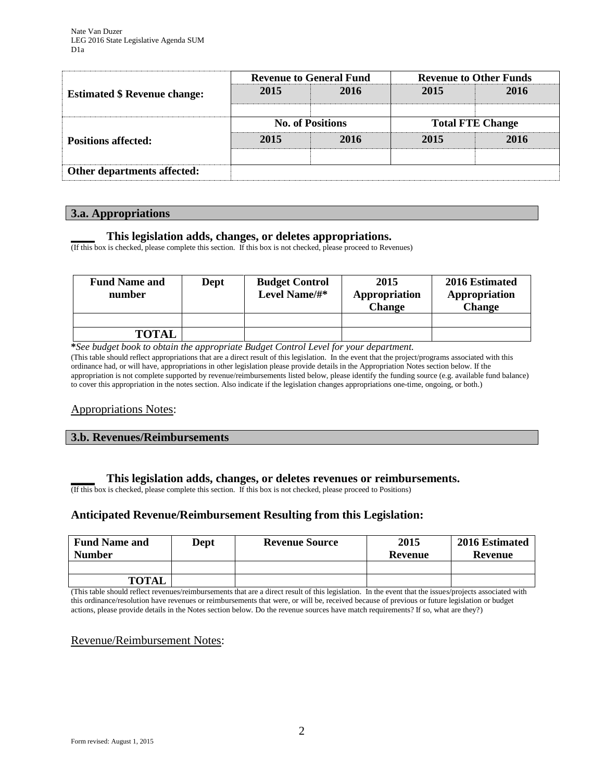| <b>Estimated \$ Revenue change:</b> |                         | <b>Revenue to General Fund</b> | <b>Revenue to Other Funds</b> |      |  |
|-------------------------------------|-------------------------|--------------------------------|-------------------------------|------|--|
|                                     | 2015                    | 2016                           | 2015                          | 2016 |  |
|                                     |                         |                                |                               |      |  |
|                                     | <b>No. of Positions</b> |                                | <b>Total FTE Change</b>       |      |  |
| <b>Positions affected:</b>          | 2015                    | 2016                           | 2015                          | 2016 |  |
|                                     |                         |                                |                               |      |  |
| Other departments affected:         |                         |                                |                               |      |  |

### **3.a. Appropriations**

### **\_\_\_\_ This legislation adds, changes, or deletes appropriations.**

(If this box is checked, please complete this section. If this box is not checked, please proceed to Revenues)

| <b>Fund Name and</b><br>number | Dept | <b>Budget Control</b><br>Level Name/#* | 2015<br>Appropriation<br><b>Change</b> | 2016 Estimated<br>Appropriation<br><b>Change</b> |
|--------------------------------|------|----------------------------------------|----------------------------------------|--------------------------------------------------|
| <b>TOTAL</b>                   |      |                                        |                                        |                                                  |

**\****See budget book to obtain the appropriate Budget Control Level for your department.*

(This table should reflect appropriations that are a direct result of this legislation. In the event that the project/programs associated with this ordinance had, or will have, appropriations in other legislation please provide details in the Appropriation Notes section below. If the appropriation is not complete supported by revenue/reimbursements listed below, please identify the funding source (e.g. available fund balance) to cover this appropriation in the notes section. Also indicate if the legislation changes appropriations one-time, ongoing, or both.)

### Appropriations Notes:

#### **3.b. Revenues/Reimbursements**

### **\_\_\_\_ This legislation adds, changes, or deletes revenues or reimbursements.**

(If this box is checked, please complete this section. If this box is not checked, please proceed to Positions)

### **Anticipated Revenue/Reimbursement Resulting from this Legislation:**

| <b>Fund Name and</b><br><b>Number</b> | <b>Dept</b> | <b>Revenue Source</b> | 2015<br>Revenue | 2016 Estimated<br>Revenue |
|---------------------------------------|-------------|-----------------------|-----------------|---------------------------|
|                                       |             |                       |                 |                           |
| <b>TOTAL</b>                          |             |                       |                 |                           |

(This table should reflect revenues/reimbursements that are a direct result of this legislation. In the event that the issues/projects associated with this ordinance/resolution have revenues or reimbursements that were, or will be, received because of previous or future legislation or budget actions, please provide details in the Notes section below. Do the revenue sources have match requirements? If so, what are they?)

### Revenue/Reimbursement Notes: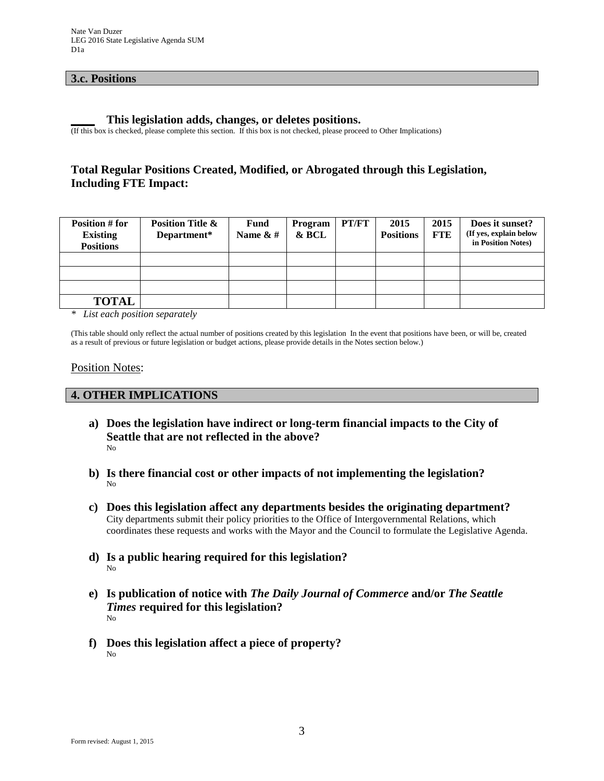### **3.c. Positions**

#### **\_\_\_\_ This legislation adds, changes, or deletes positions.**

(If this box is checked, please complete this section. If this box is not checked, please proceed to Other Implications)

# **Total Regular Positions Created, Modified, or Abrogated through this Legislation, Including FTE Impact:**

| Position # for<br><b>Existing</b><br><b>Positions</b> | <b>Position Title &amp;</b><br>Department* | <b>Fund</b><br>Name $\&$ # | Program<br>& BCL | PT/FT | 2015<br><b>Positions</b> | 2015<br><b>FTE</b> | Does it sunset?<br>(If yes, explain below<br>in Position Notes) |
|-------------------------------------------------------|--------------------------------------------|----------------------------|------------------|-------|--------------------------|--------------------|-----------------------------------------------------------------|
|                                                       |                                            |                            |                  |       |                          |                    |                                                                 |
|                                                       |                                            |                            |                  |       |                          |                    |                                                                 |
|                                                       |                                            |                            |                  |       |                          |                    |                                                                 |
| <b>TOTAL</b>                                          |                                            |                            |                  |       |                          |                    |                                                                 |

*\* List each position separately*

(This table should only reflect the actual number of positions created by this legislation In the event that positions have been, or will be, created as a result of previous or future legislation or budget actions, please provide details in the Notes section below.)

#### Position Notes:

### **4. OTHER IMPLICATIONS**

- **a) Does the legislation have indirect or long-term financial impacts to the City of Seattle that are not reflected in the above?** No
- **b) Is there financial cost or other impacts of not implementing the legislation?** No
- **c) Does this legislation affect any departments besides the originating department?**  City departments submit their policy priorities to the Office of Intergovernmental Relations, which coordinates these requests and works with the Mayor and the Council to formulate the Legislative Agenda.
- **d) Is a public hearing required for this legislation?**  No
- **e) Is publication of notice with** *The Daily Journal of Commerce* **and/or** *The Seattle Times* **required for this legislation?** No
- **f) Does this legislation affect a piece of property?** No